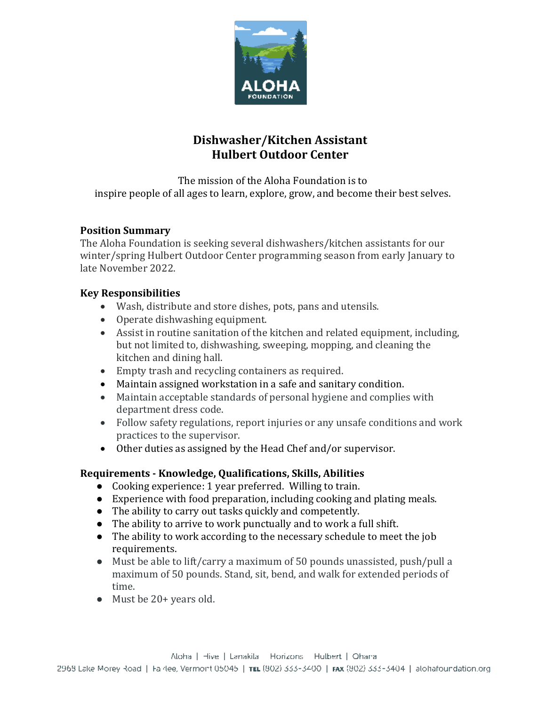

# **Dishwasher/Kitchen Assistant Hulbert Outdoor Center**

The mission of the Aloha Foundation is to inspire people of all ages to learn, explore, grow, and become their best selves.

## **Position Summary**

The Aloha Foundation is seeking several dishwashers/kitchen assistants for our winter/spring Hulbert Outdoor Center programming season from early January to late November 2022.

## **Key Responsibilities**

- Wash, distribute and store dishes, pots, pans and utensils.
- Operate dishwashing equipment.
- Assist in routine sanitation of the kitchen and related equipment, including, but not limited to, dishwashing, sweeping, mopping, and cleaning the kitchen and dining hall.
- Empty trash and recycling containers as required.
- Maintain assigned workstation in a safe and sanitary condition.
- Maintain acceptable standards of personal hygiene and complies with department dress code.
- Follow safety regulations, report injuries or any unsafe conditions and work practices to the supervisor.
- Other duties as assigned by the Head Chef and/or supervisor.

## **Requirements - Knowledge, Qualifications, Skills, Abilities**

- Cooking experience: 1 year preferred. Willing to train.
- Experience with food preparation, including cooking and plating meals.
- The ability to carry out tasks quickly and competently.
- The ability to arrive to work punctually and to work a full shift.
- The ability to work according to the necessary schedule to meet the job requirements.
- Must be able to lift/carry a maximum of 50 pounds unassisted, push/pull a maximum of 50 pounds. Stand, sit, bend, and walk for extended periods of time.
- Must be 20+ years old.